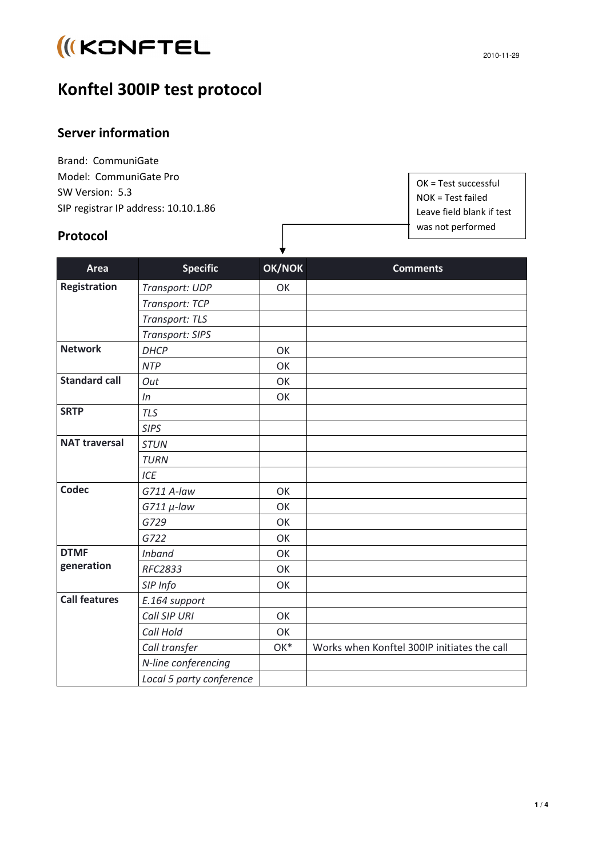# **IKCNFTEL**

## **Konftel 300IP test protocol**

### **Server information**

Brand: CommuniGate Model: CommuniGate Pro SW Version: 5.3 SIP registrar IP address: 10.10.1.86

#### **Protocol**

OK = Test successful NOK = Test failed Leave field blank if test was not performed

| <b>Area</b>               | <b>Specific</b>          | OK/NOK | <b>Comments</b>                             |
|---------------------------|--------------------------|--------|---------------------------------------------|
| Registration              | Transport: UDP           | OK     |                                             |
|                           | Transport: TCP           |        |                                             |
|                           | Transport: TLS           |        |                                             |
|                           | Transport: SIPS          |        |                                             |
| <b>Network</b>            | <b>DHCP</b>              | OK     |                                             |
|                           | <b>NTP</b>               | OK     |                                             |
| <b>Standard call</b>      | Out                      | OK     |                                             |
|                           | In                       | OK     |                                             |
| <b>SRTP</b>               | <b>TLS</b>               |        |                                             |
|                           | <b>SIPS</b>              |        |                                             |
| <b>NAT traversal</b>      | <b>STUN</b>              |        |                                             |
|                           | <b>TURN</b>              |        |                                             |
|                           | ICE                      |        |                                             |
| Codec                     | G711 A-law               | OK     |                                             |
|                           | $G711 \mu$ -law          | OK     |                                             |
|                           | G729                     | OK     |                                             |
|                           | G722                     | OK     |                                             |
| <b>DTMF</b><br>generation | <b>Inband</b>            | OK     |                                             |
|                           | <b>RFC2833</b>           | OK     |                                             |
|                           | SIP Info                 | OK     |                                             |
| <b>Call features</b>      | E.164 support            |        |                                             |
|                           | Call SIP URI             | OK     |                                             |
|                           | Call Hold                | OK     |                                             |
|                           | Call transfer            | OK*    | Works when Konftel 300IP initiates the call |
|                           | N-line conferencing      |        |                                             |
|                           | Local 5 party conference |        |                                             |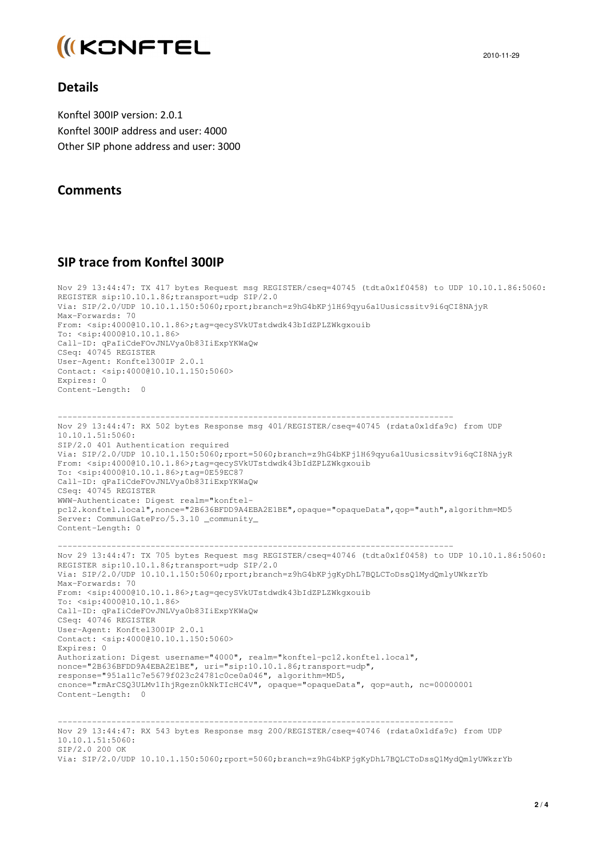

#### **Details**

Konftel 300IP version: 2.0.1 Konftel 300IP address and user: 4000 Other SIP phone address and user: 3000

#### **Comments**

#### **SIP trace from Konftel 300IP**

```
Nov 29 13:44:47: TX 417 bytes Request msg REGISTER/cseq=40745 (tdta0x1f0458) to UDP 10.10.1.86:5060: 
REGISTER sip:10.10.1.86;transport=udp SIP/2.0 
Via: SIP/2.0/UDP 10.10.1.150:5060;rport;branch=z9hG4bKPj1H69qyu6a1Uusicssitv9i6qCI8NAjyR 
Max-Forwards: 70 
From: <sip:4000@10.10.1.86>;tag=qecySVkUTstdwdk43bIdZPLZWkgxouib 
To: <sip:4000@10.10.1.86> 
Call-ID: qPaIiCdeFOvJNLVya0b83IiExpYKWaQw 
CSeq: 40745 REGISTER 
User-Agent: Konftel300IP 2.0.1 
Contact: <sip:4000@10.10.1.150:5060> 
Expires: 0 
Content-Length: 0 
--------------------------------------------------------------------------------- 
Nov 29 13:44:47: RX 502 bytes Response msg 401/REGISTER/cseq=40745 (rdata0x1dfa9c) from UDP 
10.10.1.51:5060: 
SIP/2.0 401 Authentication required 
Via: SIP/2.0/UDP 10.10.1.150:5060;rport=5060;branch=z9hG4bKPj1H69qyu6a1Uusicssitv9i6qCI8NAjyR 
From: <sip:4000@10.10.1.86>;tag=qecySVkUTstdwdk43bIdZPLZWkgxouib 
To: <sip:4000@10.10.1.86>;tag=0E59EC87 
Call-ID: qPaIiCdeFOvJNLVya0b83IiExpYKWaQw 
CSeq: 40745 REGISTER 
WWW-Authenticate: Digest realm="konftel-
pc12.konftel.local",nonce="2B636BFDD9A4EBA2E1BE",opaque="opaqueData",qop="auth",algorithm=MD5 
Server: CommuniGatePro/5.3.10 _community_ 
Content-Length: 0 
--------------------------------------------------------------------------------- 
Nov 29 13:44:47: TX 705 bytes Request msg REGISTER/cseq=40746 (tdta0x1f0458) to UDP 10.10.1.86:5060: 
REGISTER sip:10.10.1.86;transport=udp SIP/2.0 
Via: SIP/2.0/UDP 10.10.1.150:5060;rport;branch=z9hG4bKPjgKyDhL7BQLCToDssQ1MydQmlyUWkzrYb 
Max-Forwards: 70 
From: <sip:4000@10.10.1.86>;tag=qecySVkUTstdwdk43bIdZPLZWkgxouib 
To: <sip:4000@10.10.1.86> 
Call-ID: qPaIiCdeFOvJNLVya0b83IiExpYKWaQw 
CSeq: 40746 REGISTER 
User-Agent: Konftel300IP 2.0.1 
Contact: <sip:4000@10.10.1.150:5060> 
Expires: 0 
Authorization: Digest username="4000", realm="konftel-pc12.konftel.local", 
nonce="2B636BFDD9A4EBA2E1BE", uri="sip:10.10.1.86;transport=udp", 
response="951a11c7e5679f023c24781c0ce0a046", algorithm=MD5, 
cnonce="rmArCSQ3ULMv1IhjRgezn0kNkTIcHC4V", opaque="opaqueData", qop=auth, nc=00000001 
Content-Length: 0 
--------------------------------------------------------------------------------- 
Nov 29 13:44:47: RX 543 bytes Response msg 200/REGISTER/cseq=40746 (rdata0x1dfa9c) from UDP 
10.10.1.51:5060:
```

```
SIP/2.0 200 OK
```
Via: SIP/2.0/UDP 10.10.1.150:5060;rport=5060;branch=z9hG4bKPjqKyDhL7BOLCToDssO1MydOmlyUWkzrYb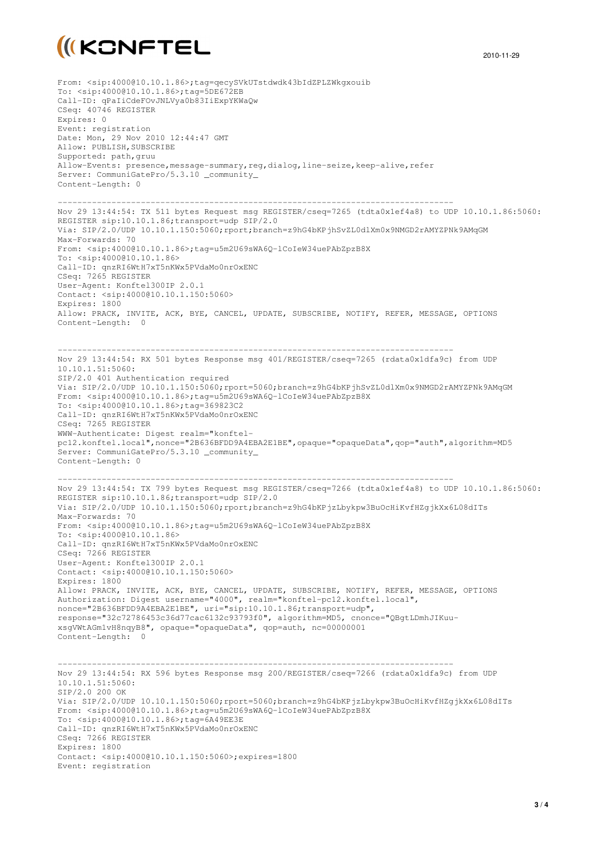

2010-11-29

From: <sip:4000@10.10.1.86>;tag=qecySVkUTstdwdk43bIdZPLZWkgxouib To: <sip:4000@10.10.1.86>;tag=5DE672EB Call-ID: qPaIiCdeFOvJNLVya0b83IiExpYKWaQw CSeq: 40746 REGISTER Expires: 0 Event: registration Date: Mon, 29 Nov 2010 12:44:47 GMT Allow: PUBLISH, SUBSCRIBE Supported: path,gruu Allow-Events: presence,message-summary,reg,dialog,line-seize,keep-alive,refer Server: CommuniGatePro/5.3.10 community Content-Length: 0 --------------------------------------------------------------------------------- Nov 29 13:44:54: TX 511 bytes Request msg REGISTER/cseq=7265 (tdta0x1ef4a8) to UDP 10.10.1.86:5060: REGISTER sip:10.10.1.86;transport=udp SIP/2.0 Via: SIP/2.0/UDP 10.10.1.150:5060;rport;branch=z9hG4bKPjhSvZL0dlXm0x9NMGD2rAMYZPNk9AMqGM Max-Forwards: 70 From: <sip:4000@10.10.1.86>;tag=u5m2U69sWA6Q-lCoIeW34uePAbZpzB8X To: <sip:4000@10.10.1.86> Call-ID: qnzRI6WtH7xT5nKWx5PVdaMo0nrOxENC CSeq: 7265 REGISTER User-Agent: Konftel300IP 2.0.1 Contact: <sip:4000@10.10.1.150:5060> Expires: 1800 Allow: PRACK, INVITE, ACK, BYE, CANCEL, UPDATE, SUBSCRIBE, NOTIFY, REFER, MESSAGE, OPTIONS Content-Length: 0 --------------------------------------------------------------------------------- Nov 29 13:44:54: RX 501 bytes Response msg 401/REGISTER/cseq=7265 (rdata0x1dfa9c) from UDP 10.10.1.51:5060: SIP/2.0 401 Authentication required Via: SIP/2.0/UDP 10.10.1.150:5060;rport=5060;branch=z9hG4bKPjhSvZL0dlXm0x9NMGD2rAMYZPNk9AMqGM From: <sip:4000@10.10.1.86>;tag=u5m2U69sWA6Q-lCoIeW34uePAbZpzB8X To: <sip:4000@10.10.1.86>;tag=369823C2 Call-ID: qnzRI6WtH7xT5nKWx5PVdaMo0nrOxENC CSeq: 7265 REGISTER WWW-Authenticate: Digest realm="konftelpc12.konftel.local",nonce="2B636BFDD9A4EBA2E1BE",opaque="opaqueData",qop="auth",algorithm=MD5 Server: CommuniGatePro/5.3.10 \_community\_ Content-Length: 0 --------------------------------------------------------------------------------- Nov 29 13:44:54: TX 799 bytes Request msg REGISTER/cseq=7266 (tdta0x1ef4a8) to UDP 10.10.1.86:5060: REGISTER sip:10.10.1.86;transport=udp SIP/2.0 Via: SIP/2.0/UDP 10.10.1.150:5060;rport;branch=z9hG4bKPjzLbykpw3BuOcHiKvfHZgjkXx6L08dITs Max-Forwards: 70 From: <sip:4000@10.10.1.86>;tag=u5m2U69sWA6Q-lCoIeW34uePAbZpzB8X To: <sip:4000@10.10.1.86> Call-ID: qnzRI6WtH7xT5nKWx5PVdaMo0nrOxENC CSeq: 7266 REGISTER User-Agent: Konftel300IP 2.0.1 Contact: <sip:4000@10.10.1.150:5060> Expires: 1800 Allow: PRACK, INVITE, ACK, BYE, CANCEL, UPDATE, SUBSCRIBE, NOTIFY, REFER, MESSAGE, OPTIONS Authorization: Digest username="4000", realm="konftel-pc12.konftel.local", nonce="2B636BFDD9A4EBA2E1BE", uri="sip:10.10.1.86;transport=udp", response="32c72786453c36d77cac6132c93793f0", algorithm=MD5, cnonce="QBgtLDmhJIKuuxsgVWtAGm1vH8nqyB8", opaque="opaqueData", qop=auth, nc=00000001 Content-Length: 0 --------------------------------------------------------------------------------- Nov 29 13:44:54: RX 596 bytes Response msg 200/REGISTER/cseq=7266 (rdata0x1dfa9c) from UDP 10.10.1.51:5060: SIP/2.0 200 OK Via: SIP/2.0/UDP 10.10.1.150:5060;rport=5060;branch=z9hG4bKPjzLbykpw3BuOcHiKvfHZqjkXx6L08dITs From: <sip:4000@10.10.1.86>;tag=u5m2U69sWA6Q-lCoIeW34uePAbZpzB8X To: <sip:4000@10.10.1.86>;tag=6A49EE3E Call-ID: qnzRI6WtH7xT5nKWx5PVdaMo0nrOxENC CSeq: 7266 REGISTER Expires: 1800 Contact: <sip:4000@10.10.1.150:5060>;expires=1800 Event: registration